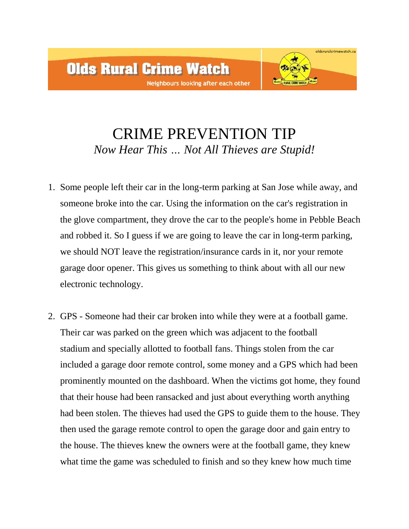

## CRIME PREVENTION TIP *Now Hear This … Not All Thieves are Stupid!*

- 1. Some people left their car in the long-term parking at San Jose while away, and someone broke into the car. Using the information on the car's registration in the glove compartment, they drove the car to the people's home in Pebble Beach and robbed it. So I guess if we are going to leave the car in long-term parking, we should NOT leave the registration/insurance cards in it, nor your remote garage door opener. This gives us something to think about with all our new electronic technology.
- 2. GPS Someone had their car broken into while they were at a football game. Their car was parked on the green which was adjacent to the football stadium and specially allotted to football fans. Things stolen from the car included a garage door remote control, some money and a GPS which had been prominently mounted on the dashboard. When the victims got home, they found that their house had been ransacked and just about everything worth anything had been stolen. The thieves had used the GPS to guide them to the house. They then used the garage remote control to open the garage door and gain entry to the house. The thieves knew the owners were at the football game, they knew what time the game was scheduled to finish and so they knew how much time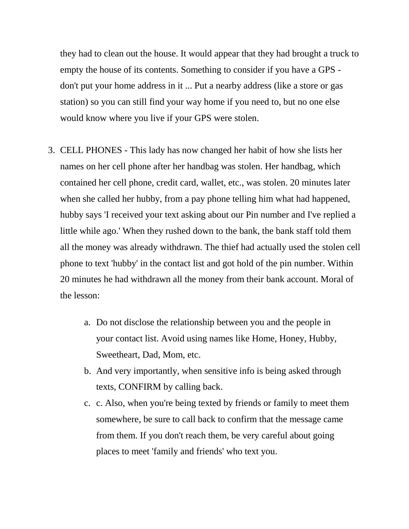they had to clean out the house. It would appear that they had brought a truck to empty the house of its contents. Something to consider if you have a GPS don't put your home address in it ... Put a nearby address (like a store or gas station) so you can still find your way home if you need to, but no one else would know where you live if your GPS were stolen.

- 3. CELL PHONES This lady has now changed her habit of how she lists her names on her cell phone after her handbag was stolen. Her handbag, which contained her cell phone, credit card, wallet, etc., was stolen. 20 minutes later when she called her hubby, from a pay phone telling him what had happened, hubby says 'I received your text asking about our Pin number and I've replied a little while ago.' When they rushed down to the bank, the bank staff told them all the money was already withdrawn. The thief had actually used the stolen cell phone to text 'hubby' in the contact list and got hold of the pin number. Within 20 minutes he had withdrawn all the money from their bank account. Moral of the lesson:
	- a. Do not disclose the relationship between you and the people in your contact list. Avoid using names like Home, Honey, Hubby, Sweetheart, Dad, Mom, etc.
	- b. And very importantly, when sensitive info is being asked through texts, CONFIRM by calling back.
	- c. c. Also, when you're being texted by friends or family to meet them somewhere, be sure to call back to confirm that the message came from them. If you don't reach them, be very careful about going places to meet 'family and friends' who text you.